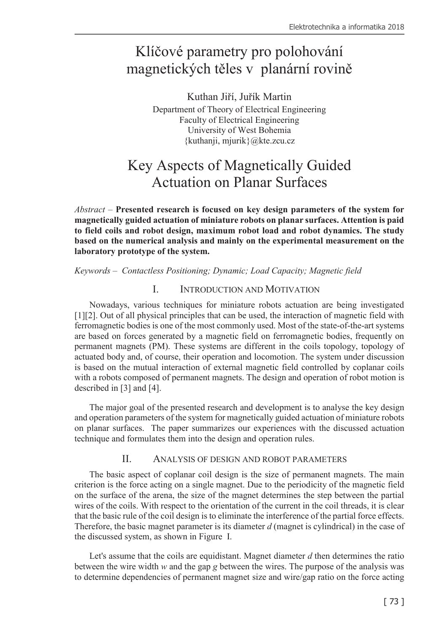# Klíčové parametry pro polohování magnetických těles v planární rovině

Kuthan Jiří, Juřík Martin Department of Theory of Electrical Engineering Faculty of Electrical Engineering University of West Bohemia {kuthanji, mjurik}@kte.zcu.cz

## Key Aspects of Magnetically Guided Actuation on Planar Surfaces

*Abstract –* **Presented research is focused on key design parameters of the system for magnetically guided actuation of miniature robots on planar surfaces. Attention is paid to field coils and robot design, maximum robot load and robot dynamics. The study based on the numerical analysis and mainly on the experimental measurement on the laboratory prototype of the system.**

*Keywords – Contactless Positioning; Dynamic; Load Capacity; Magnetic field*

## I. INTRODUCTION AND MOTIVATION

Nowadays, various techniques for miniature robots actuation are being investigated [1][2]. Out of all physical principles that can be used, the interaction of magnetic field with ferromagnetic bodies is one of the most commonly used. Most of the state-of-the-art systems are based on forces generated by a magnetic field on ferromagnetic bodies, frequently on permanent magnets (PM). These systems are different in the coils topology, topology of actuated body and, of course, their operation and locomotion. The system under discussion is based on the mutual interaction of external magnetic field controlled by coplanar coils with a robots composed of permanent magnets. The design and operation of robot motion is described in [3] and [4].

The major goal of the presented research and development is to analyse the key design and operation parameters of the system for magnetically guided actuation of miniature robots on planar surfaces. The paper summarizes our experiences with the discussed actuation technique and formulates them into the design and operation rules.

## II. ANALYSIS OF DESIGN AND ROBOT PARAMETERS

The basic aspect of coplanar coil design is the size of permanent magnets. The main criterion is the force acting on a single magnet. Due to the periodicity of the magnetic field on the surface of the arena, the size of the magnet determines the step between the partial wires of the coils. With respect to the orientation of the current in the coil threads, it is clear that the basic rule of the coil design is to eliminate the interference of the partial force effects. Therefore, the basic magnet parameter is its diameter *d* (magnet is cylindrical) in the case of the discussed system, as shown in Figure I.

Let's assume that the coils are equidistant. Magnet diameter *d* then determines the ratio between the wire width *w* and the gap *g* between the wires. The purpose of the analysis was to determine dependencies of permanent magnet size and wire/gap ratio on the force acting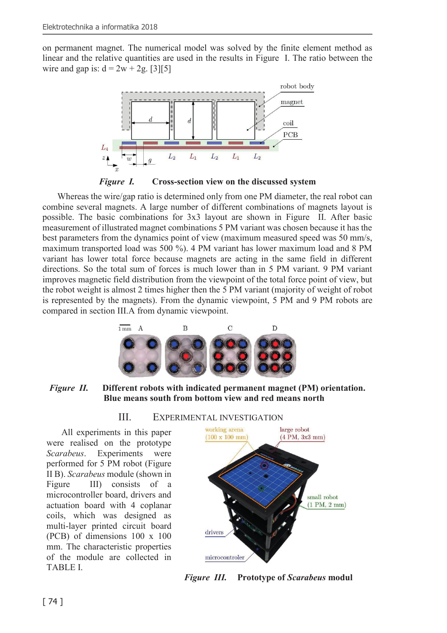on permanent magnet. The numerical model was solved by the finite element method as linear and the relative quantities are used in the results in Figure I. The ratio between the wire and gap is:  $d = 2w + 2g$ . [3][5]



*Figure I.* **Cross-section view on the discussed system**

Whereas the wire/gap ratio is determined only from one PM diameter, the real robot can combine several magnets. A large number of different combinations of magnets layout is possible. The basic combinations for 3x3 layout are shown in Figure II. After basic measurement of illustrated magnet combinations 5 PM variant was chosen because it has the best parameters from the dynamics point of view (maximum measured speed was 50 mm/s, maximum transported load was 500 %). 4 PM variant has lower maximum load and 8 PM variant has lower total force because magnets are acting in the same field in different directions. So the total sum of forces is much lower than in 5 PM variant. 9 PM variant improves magnetic field distribution from the viewpoint of the total force point of view, but the robot weight is almost 2 times higher then the 5 PM variant (majority of weight of robot is represented by the magnets). From the dynamic viewpoint, 5 PM and 9 PM robots are compared in section III.A from dynamic viewpoint.



*Figure II.* **Different robots with indicated permanent magnet (PM) orientation. Blue means south from bottom view and red means north**

## III. EXPERIMENTAL INVESTIGATION

All experiments in this paper were realised on the prototype *Scarabeus*. Experiments were performed for 5 PM robot (Figure II B). *Scarabeus* module (shown in Figure III) consists of a microcontroller board, drivers and actuation board with 4 coplanar coils, which was designed as multi-layer printed circuit board (PCB) of dimensions 100 x 100 mm. The characteristic properties of the module are collected in TABLE I.



*Figure III.* **Prototype of** *Scarabeus* **modul**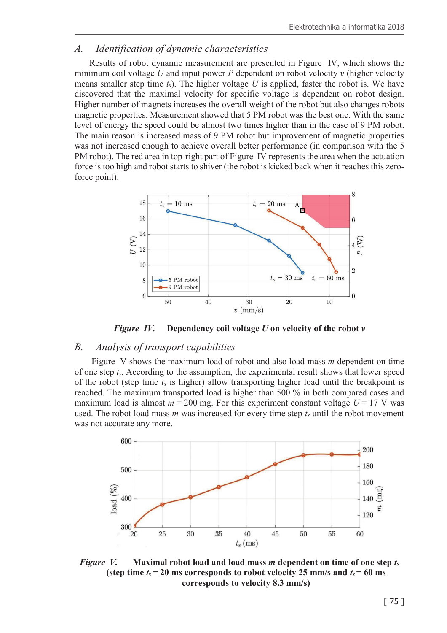## *A. Identification of dynamic characteristics*

Results of robot dynamic measurement are presented in Figure IV, which shows the minimum coil voltage  $U$  and input power  $P$  dependent on robot velocity  $v$  (higher velocity means smaller step time  $t_s$ ). The higher voltage *U* is applied, faster the robot is. We have discovered that the maximal velocity for specific voltage is dependent on robot design. Higher number of magnets increases the overall weight of the robot but also changes robots magnetic properties. Measurement showed that 5 PM robot was the best one. With the same level of energy the speed could be almost two times higher than in the case of 9 PM robot. The main reason is increased mass of 9 PM robot but improvement of magnetic properties was not increased enough to achieve overall better performance (in comparison with the 5 PM robot). The red area in top-right part of Figure IV represents the area when the actuation force is too high and robot starts to shiver (the robot is kicked back when it reaches this zeroforce point).



*Figure IV.* **Dependency coil voltage** *U* **on velocity of the robot** *v*

#### *B. Analysis of transport capabilities*

Figure V shows the maximum load of robot and also load mass *m* dependent on time of one step *ts*. According to the assumption, the experimental result shows that lower speed of the robot (step time  $t_s$  is higher) allow transporting higher load until the breakpoint is reached. The maximum transported load is higher than 500 % in both compared cases and maximum load is almost  $m = 200$  mg. For this experiment constant voltage  $U = 17$  V was used. The robot load mass *m* was increased for every time step *ts* until the robot movement was not accurate any more.



*Figure V.* **Maximal robot load and load mass** *m* **dependent on time of one step** *ts* (step time  $t_s = 20$  ms corresponds to robot velocity 25 mm/s and  $t_s = 60$  ms **corresponds to velocity 8.3 mm/s)**